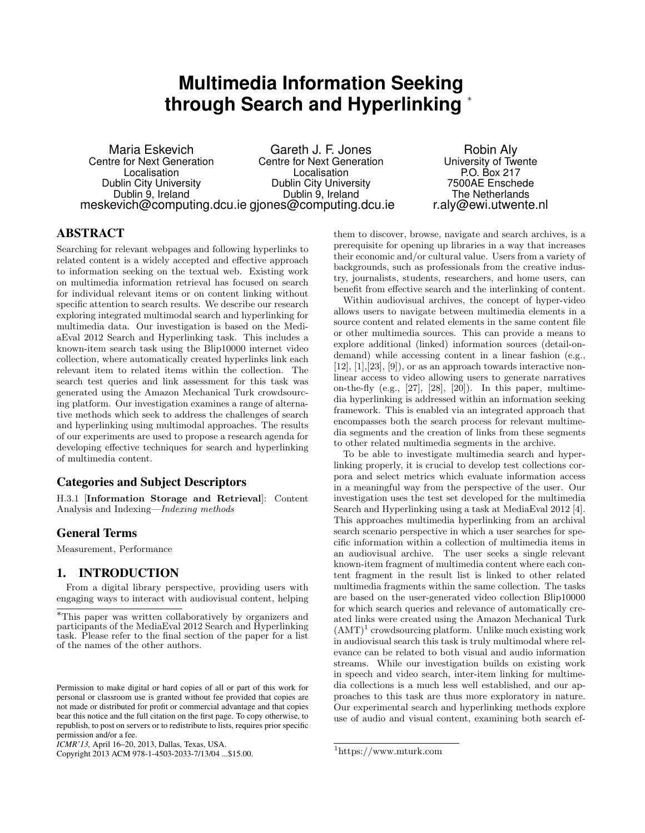# **Multimedia Information Seeking through Search and Hyperlinking** <sup>∗</sup>

Maria Eskevich Centre for Next Generation Localisation Dublin City University Dublin 9, Ireland meskevich@computing.dcu.ie gjones@computing.dcu.ie Gareth J. F. Jones Centre for Next Generation Localisation Dublin City University Dublin 9, Ireland

Robin Aly University of Twente P.O. Box 217 7500AE Enschede The Netherlands r.aly@ewi.utwente.nl

# ABSTRACT

Searching for relevant webpages and following hyperlinks to related content is a widely accepted and effective approach to information seeking on the textual web. Existing work on multimedia information retrieval has focused on search for individual relevant items or on content linking without specific attention to search results. We describe our research exploring integrated multimodal search and hyperlinking for multimedia data. Our investigation is based on the MediaEval 2012 Search and Hyperlinking task. This includes a known-item search task using the Blip10000 internet video collection, where automatically created hyperlinks link each relevant item to related items within the collection. The search test queries and link assessment for this task was generated using the Amazon Mechanical Turk crowdsourcing platform. Our investigation examines a range of alternative methods which seek to address the challenges of search and hyperlinking using multimodal approaches. The results of our experiments are used to propose a research agenda for developing effective techniques for search and hyperlinking of multimedia content.

#### Categories and Subject Descriptors

H.3.1 [Information Storage and Retrieval]: Content Analysis and Indexing—Indexing methods

## General Terms

Measurement, Performance

#### 1. INTRODUCTION

From a digital library perspective, providing users with engaging ways to interact with audiovisual content, helping

Copyright 2013 ACM 978-1-4503-2033-7/13/04 ...\$15.00.

them to discover, browse, navigate and search archives, is a prerequisite for opening up libraries in a way that increases their economic and/or cultural value. Users from a variety of backgrounds, such as professionals from the creative industry, journalists, students, researchers, and home users, can benefit from effective search and the interlinking of content.

Within audiovisual archives, the concept of hyper-video allows users to navigate between multimedia elements in a source content and related elements in the same content file or other multimedia sources. This can provide a means to explore additional (linked) information sources (detail-ondemand) while accessing content in a linear fashion (e.g.,  $[12]$ ,  $[1]$ ,  $[23]$ ,  $[9]$ ), or as an approach towards interactive nonlinear access to video allowing users to generate narratives on-the-fly (e.g.,  $[27]$ ,  $[28]$ ,  $[20]$ ). In this paper, multimedia hyperlinking is addressed within an information seeking framework. This is enabled via an integrated approach that encompasses both the search process for relevant multimedia segments and the creation of links from these segments to other related multimedia segments in the archive.

To be able to investigate multimedia search and hyperlinking properly, it is crucial to develop test collections corpora and select metrics which evaluate information access in a meaningful way from the perspective of the user. Our investigation uses the test set developed for the multimedia Search and Hyperlinking using a task at MediaEval 2012 [4]. This approaches multimedia hyperlinking from an archival search scenario perspective in which a user searches for specific information within a collection of multimedia items in an audiovisual archive. The user seeks a single relevant known-item fragment of multimedia content where each content fragment in the result list is linked to other related multimedia fragments within the same collection. The tasks are based on the user-generated video collection Blip10000 for which search queries and relevance of automatically created links were created using the Amazon Mechanical Turk  $(AMT)^1$  crowdsourcing platform. Unlike much existing work in audiovisual search this task is truly multimodal where relevance can be related to both visual and audio information streams. While our investigation builds on existing work in speech and video search, inter-item linking for multimedia collections is a much less well established, and our approaches to this task are thus more exploratory in nature. Our experimental search and hyperlinking methods explore use of audio and visual content, examining both search ef-

<sup>∗</sup>This paper was written collaboratively by organizers and participants of the MediaEval 2012 Search and Hyperlinking task. Please refer to the final section of the paper for a list of the names of the other authors.

Permission to make digital or hard copies of all or part of this work for personal or classroom use is granted without fee provided that copies are not made or distributed for profit or commercial advantage and that copies bear this notice and the full citation on the first page. To copy otherwise, to republish, to post on servers or to redistribute to lists, requires prior specific permission and/or a fee.

*ICMR'13,* April 16–20, 2013, Dallas, Texas, USA.

<sup>1</sup>https://www.mturk.com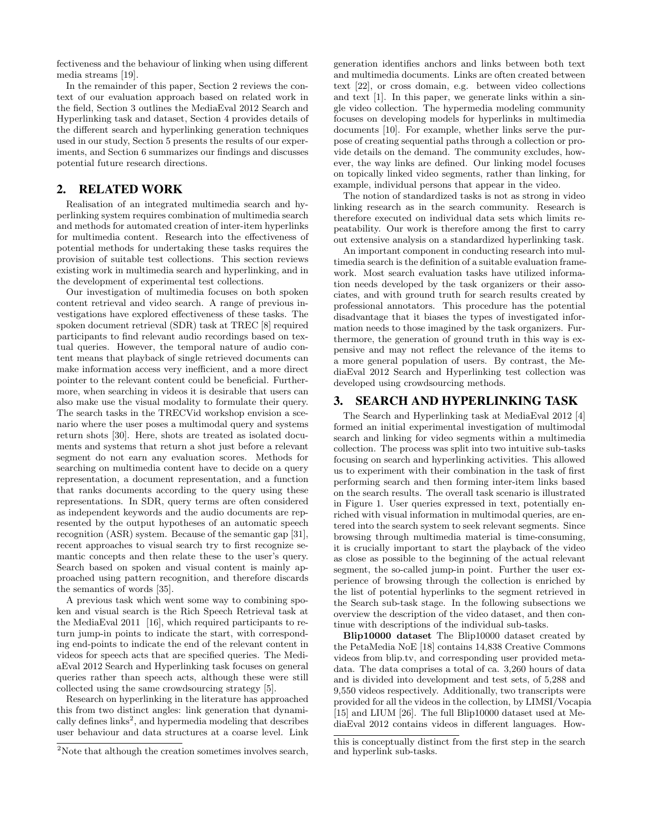fectiveness and the behaviour of linking when using different media streams [19].

In the remainder of this paper, Section 2 reviews the context of our evaluation approach based on related work in the field, Section 3 outlines the MediaEval 2012 Search and Hyperlinking task and dataset, Section 4 provides details of the different search and hyperlinking generation techniques used in our study, Section 5 presents the results of our experiments, and Section 6 summarizes our findings and discusses potential future research directions.

# 2. RELATED WORK

Realisation of an integrated multimedia search and hyperlinking system requires combination of multimedia search and methods for automated creation of inter-item hyperlinks for multimedia content. Research into the effectiveness of potential methods for undertaking these tasks requires the provision of suitable test collections. This section reviews existing work in multimedia search and hyperlinking, and in the development of experimental test collections.

Our investigation of multimedia focuses on both spoken content retrieval and video search. A range of previous investigations have explored effectiveness of these tasks. The spoken document retrieval (SDR) task at TREC [8] required participants to find relevant audio recordings based on textual queries. However, the temporal nature of audio content means that playback of single retrieved documents can make information access very inefficient, and a more direct pointer to the relevant content could be beneficial. Furthermore, when searching in videos it is desirable that users can also make use the visual modality to formulate their query. The search tasks in the TRECVid workshop envision a scenario where the user poses a multimodal query and systems return shots [30]. Here, shots are treated as isolated documents and systems that return a shot just before a relevant segment do not earn any evaluation scores. Methods for searching on multimedia content have to decide on a query representation, a document representation, and a function that ranks documents according to the query using these representations. In SDR, query terms are often considered as independent keywords and the audio documents are represented by the output hypotheses of an automatic speech recognition (ASR) system. Because of the semantic gap [31], recent approaches to visual search try to first recognize semantic concepts and then relate these to the user's query. Search based on spoken and visual content is mainly approached using pattern recognition, and therefore discards the semantics of words [35].

A previous task which went some way to combining spoken and visual search is the Rich Speech Retrieval task at the MediaEval 2011 [16], which required participants to return jump-in points to indicate the start, with corresponding end-points to indicate the end of the relevant content in videos for speech acts that are specified queries. The MediaEval 2012 Search and Hyperlinking task focuses on general queries rather than speech acts, although these were still collected using the same crowdsourcing strategy [5].

Research on hyperlinking in the literature has approached this from two distinct angles: link generation that dynamically defines  $\text{links}^2$ , and hypermedia modeling that describes user behaviour and data structures at a coarse level. Link generation identifies anchors and links between both text and multimedia documents. Links are often created between text [22], or cross domain, e.g. between video collections and text [1]. In this paper, we generate links within a single video collection. The hypermedia modeling community focuses on developing models for hyperlinks in multimedia documents [10]. For example, whether links serve the purpose of creating sequential paths through a collection or provide details on the demand. The community excludes, however, the way links are defined. Our linking model focuses on topically linked video segments, rather than linking, for example, individual persons that appear in the video.

The notion of standardized tasks is not as strong in video linking research as in the search community. Research is therefore executed on individual data sets which limits repeatability. Our work is therefore among the first to carry out extensive analysis on a standardized hyperlinking task.

An important component in conducting research into multimedia search is the definition of a suitable evaluation framework. Most search evaluation tasks have utilized information needs developed by the task organizers or their associates, and with ground truth for search results created by professional annotators. This procedure has the potential disadvantage that it biases the types of investigated information needs to those imagined by the task organizers. Furthermore, the generation of ground truth in this way is expensive and may not reflect the relevance of the items to a more general population of users. By contrast, the MediaEval 2012 Search and Hyperlinking test collection was developed using crowdsourcing methods.

#### 3. SEARCH AND HYPERLINKING TASK

The Search and Hyperlinking task at MediaEval 2012 [4] formed an initial experimental investigation of multimodal search and linking for video segments within a multimedia collection. The process was split into two intuitive sub-tasks focusing on search and hyperlinking activities. This allowed us to experiment with their combination in the task of first performing search and then forming inter-item links based on the search results. The overall task scenario is illustrated in Figure 1. User queries expressed in text, potentially enriched with visual information in multimodal queries, are entered into the search system to seek relevant segments. Since browsing through multimedia material is time-consuming, it is crucially important to start the playback of the video as close as possible to the beginning of the actual relevant segment, the so-called jump-in point. Further the user experience of browsing through the collection is enriched by the list of potential hyperlinks to the segment retrieved in the Search sub-task stage. In the following subsections we overview the description of the video dataset, and then continue with descriptions of the individual sub-tasks.

Blip10000 dataset The Blip10000 dataset created by the PetaMedia NoE [18] contains 14,838 Creative Commons videos from blip.tv, and corresponding user provided metadata. The data comprises a total of ca. 3,260 hours of data and is divided into development and test sets, of 5,288 and 9,550 videos respectively. Additionally, two transcripts were provided for all the videos in the collection, by LIMSI/Vocapia [15] and LIUM [26]. The full Blip10000 dataset used at MediaEval 2012 contains videos in different languages. How-

<sup>&</sup>lt;sup>2</sup>Note that although the creation sometimes involves search,

this is conceptually distinct from the first step in the search and hyperlink sub-tasks.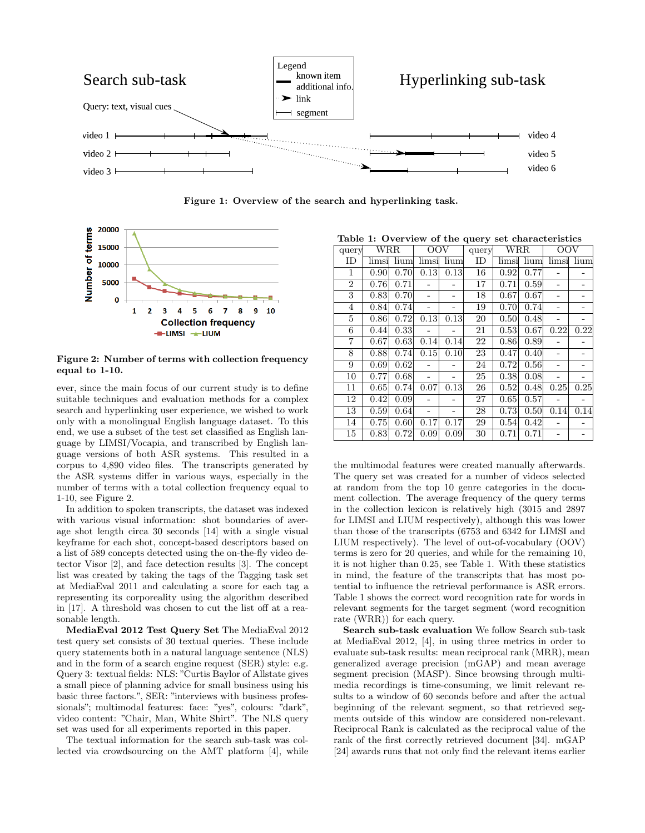

Figure 1: Overview of the search and hyperlinking task.



Figure 2: Number of terms with collection frequency equal to 1-10.

ever, since the main focus of our current study is to define suitable techniques and evaluation methods for a complex search and hyperlinking user experience, we wished to work only with a monolingual English language dataset. To this end, we use a subset of the test set classified as English language by LIMSI/Vocapia, and transcribed by English language versions of both ASR systems. This resulted in a corpus to 4,890 video files. The transcripts generated by the ASR systems differ in various ways, especially in the number of terms with a total collection frequency equal to 1-10, see Figure 2.

In addition to spoken transcripts, the dataset was indexed with various visual information: shot boundaries of average shot length circa 30 seconds [14] with a single visual keyframe for each shot, concept-based descriptors based on a list of 589 concepts detected using the on-the-fly video detector Visor [2], and face detection results [3]. The concept list was created by taking the tags of the Tagging task set at MediaEval 2011 and calculating a score for each tag a representing its corporeality using the algorithm described in [17]. A threshold was chosen to cut the list off at a reasonable length.

MediaEval 2012 Test Query Set The MediaEval 2012 test query set consists of 30 textual queries. These include query statements both in a natural language sentence (NLS) and in the form of a search engine request (SER) style: e.g. Query 3: textual fields: NLS: "Curtis Baylor of Allstate gives a small piece of planning advice for small business using his basic three factors.", SER: "interviews with business professionals"; multimodal features: face: "yes", colours: "dark", video content: "Chair, Man, White Shirt". The NLS query set was used for all experiments reported in this paper.

The textual information for the search sub-task was collected via crowdsourcing on the AMT platform [4], while

| Lable 1. Overview of the query set characteristics |                   |      |                          |      |       |      |                   |            |            |
|----------------------------------------------------|-------------------|------|--------------------------|------|-------|------|-------------------|------------|------------|
| query                                              | <b>WRR</b>        |      | OOV.                     |      | query | WRR  |                   | <b>OOV</b> |            |
| ID                                                 |                   |      | limsi lium limsi lium    |      | ID    |      | limsi lium        |            | limsi lium |
| 1                                                  | 0.90 <sub>l</sub> | 0.70 | 0.13                     | 0.13 | 16    | 0.92 | $\overline{0.77}$ |            |            |
| $\overline{2}$                                     | 0.76              | 0.71 |                          |      | 17    | 0.71 | 0.59              |            |            |
| 3                                                  | $\overline{0.83}$ | 0.70 |                          |      | 18    | 0.67 | 0.67              |            |            |
| 4                                                  | 0.84              | 0.74 |                          |      | 19    | 0.70 | 0.74              |            |            |
| 5                                                  | 0.86              | 0.72 | 0.13                     | 0.13 | 20    | 0.50 | 0.48              |            |            |
| 6                                                  | 0.44              | 0.33 | $\overline{\phantom{0}}$ |      | 21    | 0.53 | 0.67              | 0.22       | 0.22       |
| $\overline{7}$                                     | 0.67              | 0.63 | 0.14                     | 0.14 | 22    | 0.86 | 0.89              |            |            |
| 8                                                  | 0.88              | 0.74 | 0.15                     | 0.10 | 23    | 0.47 | 0.40              |            |            |
| 9                                                  | 0.69              | 0.62 |                          |      | 24    | 0.72 | 0.56              |            |            |
| 10                                                 | 0.77              | 0.68 |                          |      | 25    | 0.38 | 0.08              |            |            |
| 11                                                 | 0.65              | 0.74 | 0.07                     | 0.13 | 26    | 0.52 | 0.48              | 0.25       | 0.25       |
| 12                                                 | 0.42              | 0.09 |                          |      | 27    | 0.65 | 0.57              |            |            |
| 13                                                 | 0.59              | 0.64 |                          |      | 28    | 0.73 | 0.50              | 0.14       | 0.14       |
| 14                                                 | 0.75              | 0.60 | 0.17                     | 0.17 | 29    | 0.54 | 0.42              |            |            |
| 15                                                 | 0.83              | 0.72 | 0.09                     | 0.09 | 30    | 0.71 | 0.71              |            |            |

the multimodal features were created manually afterwards. The query set was created for a number of videos selected at random from the top 10 genre categories in the document collection. The average frequency of the query terms in the collection lexicon is relatively high (3015 and 2897 for LIMSI and LIUM respectively), although this was lower than those of the transcripts (6753 and 6342 for LIMSI and LIUM respectively). The level of out-of-vocabulary (OOV) terms is zero for 20 queries, and while for the remaining 10, it is not higher than 0.25, see Table 1. With these statistics in mind, the feature of the transcripts that has most potential to influence the retrieval performance is ASR errors. Table 1 shows the correct word recognition rate for words in relevant segments for the target segment (word recognition rate (WRR)) for each query.

Search sub-task evaluation We follow Search sub-task at MediaEval 2012, [4], in using three metrics in order to evaluate sub-task results: mean reciprocal rank (MRR), mean generalized average precision (mGAP) and mean average segment precision (MASP). Since browsing through multimedia recordings is time-consuming, we limit relevant results to a window of 60 seconds before and after the actual beginning of the relevant segment, so that retrieved segments outside of this window are considered non-relevant. Reciprocal Rank is calculated as the reciprocal value of the rank of the first correctly retrieved document [34]. mGAP [24] awards runs that not only find the relevant items earlier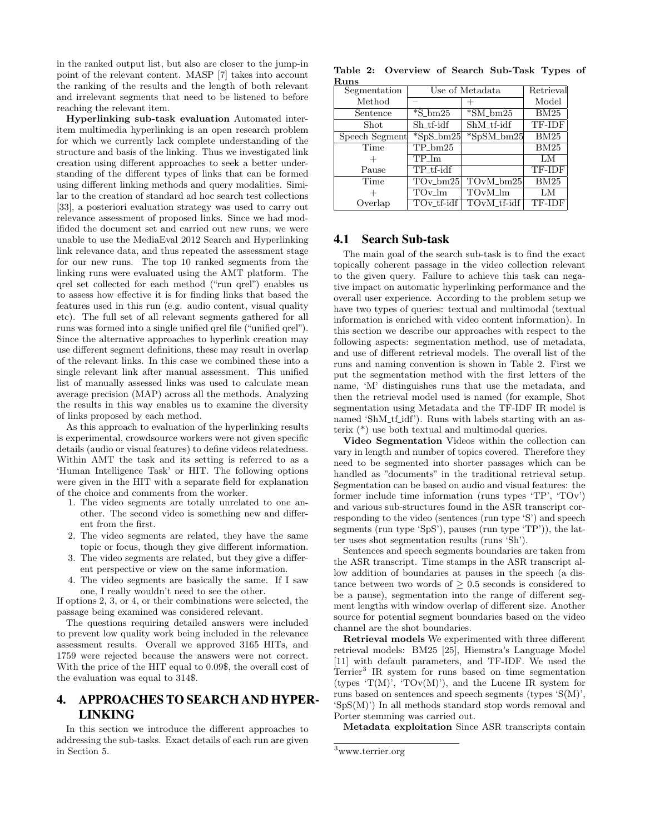in the ranked output list, but also are closer to the jump-in point of the relevant content. MASP [7] takes into account the ranking of the results and the length of both relevant and irrelevant segments that need to be listened to before reaching the relevant item.

Hyperlinking sub-task evaluation Automated interitem multimedia hyperlinking is an open research problem for which we currently lack complete understanding of the structure and basis of the linking. Thus we investigated link creation using different approaches to seek a better understanding of the different types of links that can be formed using different linking methods and query modalities. Similar to the creation of standard ad hoc search test collections [33], a posteriori evaluation strategy was used to carry out relevance assessment of proposed links. Since we had modifided the document set and carried out new runs, we were unable to use the MediaEval 2012 Search and Hyperlinking link relevance data, and thus repeated the assessment stage for our new runs. The top 10 ranked segments from the linking runs were evaluated using the AMT platform. The qrel set collected for each method ("run qrel") enables us to assess how effective it is for finding links that based the features used in this run (e.g. audio content, visual quality etc). The full set of all relevant segments gathered for all runs was formed into a single unified qrel file ("unified qrel"). Since the alternative approaches to hyperlink creation may use different segment definitions, these may result in overlap of the relevant links. In this case we combined these into a single relevant link after manual assessment. This unified list of manually assessed links was used to calculate mean average precision (MAP) across all the methods. Analyzing the results in this way enables us to examine the diversity of links proposed by each method.

As this approach to evaluation of the hyperlinking results is experimental, crowdsource workers were not given specific details (audio or visual features) to define videos relatedness. Within AMT the task and its setting is referred to as a 'Human Intelligence Task' or HIT. The following options were given in the HIT with a separate field for explanation of the choice and comments from the worker.

- 1. The video segments are totally unrelated to one another. The second video is something new and different from the first.
- 2. The video segments are related, they have the same topic or focus, though they give different information.
- 3. The video segments are related, but they give a different perspective or view on the same information.
- 4. The video segments are basically the same. If I saw one, I really wouldn't need to see the other.

If options 2, 3, or 4, or their combinations were selected, the passage being examined was considered relevant.

The questions requiring detailed answers were included to prevent low quality work being included in the relevance assessment results. Overall we approved 3165 HITs, and 1759 were rejected because the answers were not correct. With the price of the HIT equal to 0.09\$, the overall cost of the evaluation was equal to 314\$.

# 4. APPROACHES TO SEARCH AND HYPER-LINKING

In this section we introduce the different approaches to addressing the sub-tasks. Exact details of each run are given in Section 5.

Table 2: Overview of Search Sub-Task Types of Runs

| Segmentation   | Use of Metadata           | Retrieval    |        |
|----------------|---------------------------|--------------|--------|
| Method         |                           |              | Model  |
| Sentence       | $\overline{^{*}S}$ _bm25  | $*SM_bm25$   | BM25   |
| Shot           | Sh_tf-idf                 | ShM_tf-idf   | TF-IDF |
| Speech Segment | $*SpS_bm25$               | $*SpSM_bm25$ | BM25   |
| Time           | $TP\_bm25$                |              | BM25   |
|                | $TP\_lm$                  |              | LM     |
| Pause          | $TP_t$ -tf-idf            |              | TF-IDF |
| Time           | $TOv_{\rm \perp}$ m25     | TOvM_bm25    | BM25   |
|                | $\overline{\text{TOv}}_m$ | TOvM_lm      | LM     |
| Overlap        | TOv_tf-idf                | TOvM_tf-idf  | TF-IDF |

#### 4.1 Search Sub-task

The main goal of the search sub-task is to find the exact topically coherent passage in the video collection relevant to the given query. Failure to achieve this task can negative impact on automatic hyperlinking performance and the overall user experience. According to the problem setup we have two types of queries: textual and multimodal (textual information is enriched with video content information). In this section we describe our approaches with respect to the following aspects: segmentation method, use of metadata, and use of different retrieval models. The overall list of the runs and naming convention is shown in Table 2. First we put the segmentation method with the first letters of the name, 'M' distinguishes runs that use the metadata, and then the retrieval model used is named (for example, Shot segmentation using Metadata and the TF-IDF IR model is named 'ShM\_tf\_idf'). Runs with labels starting with an asterix (\*) use both textual and multimodal queries.

Video Segmentation Videos within the collection can vary in length and number of topics covered. Therefore they need to be segmented into shorter passages which can be handled as "documents" in the traditional retrieval setup. Segmentation can be based on audio and visual features: the former include time information (runs types 'TP', 'TOv') and various sub-structures found in the ASR transcript corresponding to the video (sentences (run type 'S') and speech segments (run type 'SpS'), pauses (run type 'TP')), the latter uses shot segmentation results (runs 'Sh').

Sentences and speech segments boundaries are taken from the ASR transcript. Time stamps in the ASR transcript allow addition of boundaries at pauses in the speech (a distance between two words of  $\geq$  0.5 seconds is considered to be a pause), segmentation into the range of different segment lengths with window overlap of different size. Another source for potential segment boundaries based on the video channel are the shot boundaries.

Retrieval models We experimented with three different retrieval models: BM25 [25], Hiemstra's Language Model [11] with default parameters, and TF-IDF. We used the Terrier<sup>3</sup> IR system for runs based on time segmentation (types  $T(M)$ ',  $TOv(M)$ '), and the Lucene IR system for runs based on sentences and speech segments (types 'S(M)', 'SpS(M)') In all methods standard stop words removal and Porter stemming was carried out.

Metadata exploitation Since ASR transcripts contain

 $^3\!$ www.terrier.org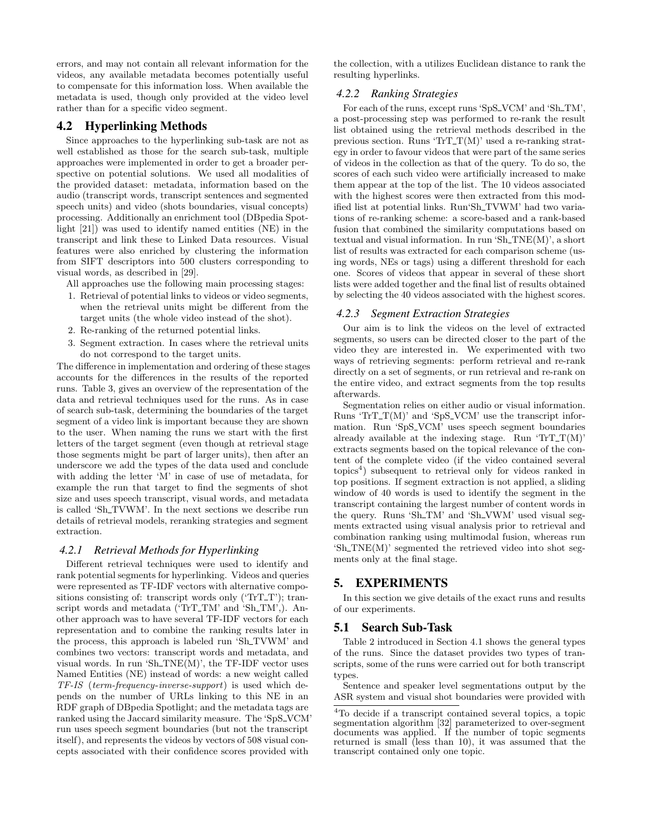errors, and may not contain all relevant information for the videos, any available metadata becomes potentially useful to compensate for this information loss. When available the metadata is used, though only provided at the video level rather than for a specific video segment.

#### 4.2 Hyperlinking Methods

Since approaches to the hyperlinking sub-task are not as well established as those for the search sub-task, multiple approaches were implemented in order to get a broader perspective on potential solutions. We used all modalities of the provided dataset: metadata, information based on the audio (transcript words, transcript sentences and segmented speech units) and video (shots boundaries, visual concepts) processing. Additionally an enrichment tool (DBpedia Spotlight [21]) was used to identify named entities (NE) in the transcript and link these to Linked Data resources. Visual features were also enriched by clustering the information from SIFT descriptors into 500 clusters corresponding to visual words, as described in [29].

All approaches use the following main processing stages:

- 1. Retrieval of potential links to videos or video segments, when the retrieval units might be different from the target units (the whole video instead of the shot).
- 2. Re-ranking of the returned potential links.
- 3. Segment extraction. In cases where the retrieval units do not correspond to the target units.

The difference in implementation and ordering of these stages accounts for the differences in the results of the reported runs. Table 3, gives an overview of the representation of the data and retrieval techniques used for the runs. As in case of search sub-task, determining the boundaries of the target segment of a video link is important because they are shown to the user. When naming the runs we start with the first letters of the target segment (even though at retrieval stage those segments might be part of larger units), then after an underscore we add the types of the data used and conclude with adding the letter 'M' in case of use of metadata, for example the run that target to find the segments of shot size and uses speech transcript, visual words, and metadata is called 'Sh\_TVWM'. In the next sections we describe run details of retrieval models, reranking strategies and segment extraction.

#### *4.2.1 Retrieval Methods for Hyperlinking*

Different retrieval techniques were used to identify and rank potential segments for hyperlinking. Videos and queries were represented as TF-IDF vectors with alternative compositions consisting of: transcript words only  $(TrT_T)$ ; transcript words and metadata ('TrT\_TM' and 'Sh\_TM',). Another approach was to have several TF-IDF vectors for each representation and to combine the ranking results later in the process, this approach is labeled run 'Sh TVWM' and combines two vectors: transcript words and metadata, and visual words. In run ' $\text{Sh\_TNE}(M)$ ', the TF-IDF vector uses Named Entities (NE) instead of words: a new weight called TF-IS (term-frequency-inverse-support) is used which depends on the number of URLs linking to this NE in an RDF graph of DBpedia Spotlight; and the metadata tags are ranked using the Jaccard similarity measure. The 'SpS\_VCM' run uses speech segment boundaries (but not the transcript itself), and represents the videos by vectors of 508 visual concepts associated with their confidence scores provided with

the collection, with a utilizes Euclidean distance to rank the resulting hyperlinks.

#### *4.2.2 Ranking Strategies*

For each of the runs, except runs 'SpS\_VCM' and 'Sh\_TM', a post-processing step was performed to re-rank the result list obtained using the retrieval methods described in the previous section. Runs ' $Tr T_T(M)$ ' used a re-ranking strategy in order to favour videos that were part of the same series of videos in the collection as that of the query. To do so, the scores of each such video were artificially increased to make them appear at the top of the list. The 10 videos associated with the highest scores were then extracted from this modified list at potential links. Run'Sh\_TVWM' had two variations of re-ranking scheme: a score-based and a rank-based fusion that combined the similarity computations based on textual and visual information. In run ' $\text{Sh\_TNE}(M)$ ', a short list of results was extracted for each comparison scheme (using words, NEs or tags) using a different threshold for each one. Scores of videos that appear in several of these short lists were added together and the final list of results obtained by selecting the 40 videos associated with the highest scores.

#### *4.2.3 Segment Extraction Strategies*

Our aim is to link the videos on the level of extracted segments, so users can be directed closer to the part of the video they are interested in. We experimented with two ways of retrieving segments: perform retrieval and re-rank directly on a set of segments, or run retrieval and re-rank on the entire video, and extract segments from the top results afterwards.

Segmentation relies on either audio or visual information. Runs  $TFT_T(M)$  and  $PS_VCM$  use the transcript information. Run 'SpS\_VCM' uses speech segment boundaries already available at the indexing stage. Run  $TTT_T(M)$ extracts segments based on the topical relevance of the content of the complete video (if the video contained several topics<sup>4</sup>) subsequent to retrieval only for videos ranked in top positions. If segment extraction is not applied, a sliding window of 40 words is used to identify the segment in the transcript containing the largest number of content words in the query. Runs 'Sh\_TM' and 'Sh\_VWM' used visual segments extracted using visual analysis prior to retrieval and combination ranking using multimodal fusion, whereas run  $Sh$ -TNE $(M)$ ' segmented the retrieved video into shot segments only at the final stage.

## 5. EXPERIMENTS

In this section we give details of the exact runs and results of our experiments.

## 5.1 Search Sub-Task

Table 2 introduced in Section 4.1 shows the general types of the runs. Since the dataset provides two types of transcripts, some of the runs were carried out for both transcript types.

Sentence and speaker level segmentations output by the ASR system and visual shot boundaries were provided with

<sup>4</sup>To decide if a transcript contained several topics, a topic segmentation algorithm [32] parameterized to over-segment documents was applied. If the number of topic segments returned is small (less than 10), it was assumed that the transcript contained only one topic.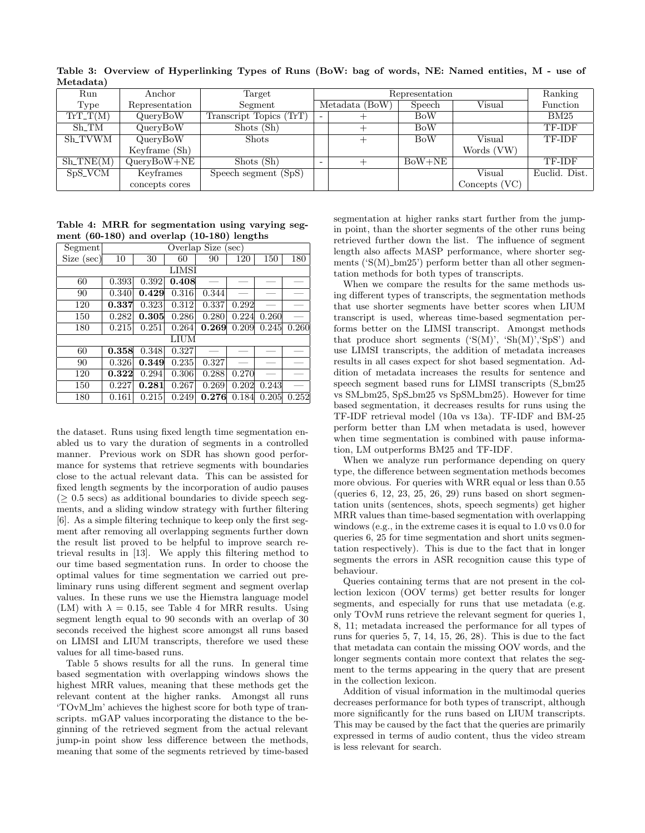| www.com        |                |                                |                |                |            |                 |               |
|----------------|----------------|--------------------------------|----------------|----------------|------------|-----------------|---------------|
| Run            | Anchor         | Target                         |                | Representation | Ranking    |                 |               |
| Type           | Representation | Segment                        | Metadata (BoW) |                | Speech     | Visual          | Function      |
| $TrT_T(M)$     | QueryBoW       | Transcript Topics (TrT)        |                |                | BoW        |                 | BM25          |
| $Sh\_TM$       | QueryBoW       | Shots (Sh)                     |                |                | <b>BoW</b> |                 | TF-IDF        |
| Sh_TVWM        | QueryBoW       | <b>Shots</b>                   |                |                | <b>BoW</b> | Visual          | TF-IDF        |
|                | Keyframe (Sh)  |                                |                |                |            | Words (VW)      |               |
| $Sh$ TNE $(M)$ | $QueryBoW+NE$  | $\overline{\text{Shots (Sh)}}$ |                |                | $BoW + NE$ |                 | TF-IDF        |
| SpS_VCM        | Keyframes      | Speech segment (SpS)           |                |                |            | Visual          | Euclid. Dist. |
|                | concepts cores |                                |                |                |            | Concepts $(VC)$ |               |

Table 3: Overview of Hyperlinking Types of Runs (BoW: bag of words, NE: Named entities, M - use of Metadata)

Table 4: MRR for segmentation using varying segment (60-180) and overlap (10-180) lengths

| Segment    | Overlap Size<br>sec) |       |             |       |       |       |       |  |
|------------|----------------------|-------|-------------|-------|-------|-------|-------|--|
| Size (sec) | 10                   | 30    | 60          | 90    | 120   | 150   | 180   |  |
| LIMSI      |                      |       |             |       |       |       |       |  |
| 60         | 0.393                | 0.392 | 0.408       |       |       |       |       |  |
| 90         | 0.340                | 0.429 | 0.316       | 0.344 |       |       |       |  |
| 120        | 0.337                | 0.323 | 0.312       | 0.337 | 0.292 |       |       |  |
| 150        | 0.282                | 0.305 | 0.286       | 0.280 | 0.224 | 0.260 |       |  |
| 180        | 0.215                | 0.251 | 0.264       | 0.269 | 0.209 | 0.245 | 0.260 |  |
|            |                      |       | <b>LIUM</b> |       |       |       |       |  |
| 60         | 0.358                | 0.348 | 0.327       |       |       |       |       |  |
| 90         | 0.326                | 0.349 | 0.235       | 0.327 |       |       |       |  |
| 120        | 0.322                | 0.294 | 0.306       | 0.288 | 0.270 |       |       |  |
| 150        | 0.227                | 0.281 | 0.267       | 0.269 | 0.202 | 0.243 |       |  |
| 180        | 0.161                | 0.215 | 0.249       | 0.276 | 0.184 | 0.205 | 0.252 |  |

the dataset. Runs using fixed length time segmentation enabled us to vary the duration of segments in a controlled manner. Previous work on SDR has shown good performance for systems that retrieve segments with boundaries close to the actual relevant data. This can be assisted for fixed length segments by the incorporation of audio pauses  $(\geq 0.5 \text{ secs})$  as additional boundaries to divide speech segments, and a sliding window strategy with further filtering [6]. As a simple filtering technique to keep only the first segment after removing all overlapping segments further down the result list proved to be helpful to improve search retrieval results in [13]. We apply this filtering method to our time based segmentation runs. In order to choose the optimal values for time segmentation we carried out preliminary runs using different segment and segment overlap values. In these runs we use the Hiemstra language model (LM) with  $\lambda = 0.15$ , see Table 4 for MRR results. Using segment length equal to 90 seconds with an overlap of 30 seconds received the highest score amongst all runs based on LIMSI and LIUM transcripts, therefore we used these values for all time-based runs.

Table 5 shows results for all the runs. In general time based segmentation with overlapping windows shows the highest MRR values, meaning that these methods get the relevant content at the higher ranks. Amongst all runs 'TOvM lm' achieves the highest score for both type of transcripts. mGAP values incorporating the distance to the beginning of the retrieved segment from the actual relevant jump-in point show less difference between the methods, meaning that some of the segments retrieved by time-based segmentation at higher ranks start further from the jumpin point, than the shorter segments of the other runs being retrieved further down the list. The influence of segment length also affects MASP performance, where shorter segments ( $(S(M)_{\text{cm}}25')$  perform better than all other segmentation methods for both types of transcripts.

When we compare the results for the same methods using different types of transcripts, the segmentation methods that use shorter segments have better scores when LIUM transcript is used, whereas time-based segmentation performs better on the LIMSI transcript. Amongst methods that produce short segments  $(S(M)$ ', 'Sh $(M)$ ', 'SpS') and use LIMSI transcripts, the addition of metadata increases results in all cases expect for shot based segmentation. Addition of metadata increases the results for sentence and speech segment based runs for LIMSI transcripts (S\_bm25) vs SM\_bm25, SpS\_bm25 vs SpSM\_bm25). However for time based segmentation, it decreases results for runs using the TF-IDF retrieval model (10a vs 13a). TF-IDF and BM-25 perform better than LM when metadata is used, however when time segmentation is combined with pause information, LM outperforms BM25 and TF-IDF.

When we analyze run performance depending on query type, the difference between segmentation methods becomes more obvious. For queries with WRR equal or less than 0.55 (queries 6, 12, 23, 25, 26, 29) runs based on short segmentation units (sentences, shots, speech segments) get higher MRR values than time-based segmentation with overlapping windows (e.g., in the extreme cases it is equal to 1.0 vs 0.0 for queries 6, 25 for time segmentation and short units segmentation respectively). This is due to the fact that in longer segments the errors in ASR recognition cause this type of behaviour.

Queries containing terms that are not present in the collection lexicon (OOV terms) get better results for longer segments, and especially for runs that use metadata (e.g. only TOvM runs retrieve the relevant segment for queries 1, 8, 11; metadata increased the performance for all types of runs for queries 5, 7, 14, 15, 26, 28). This is due to the fact that metadata can contain the missing OOV words, and the longer segments contain more context that relates the segment to the terms appearing in the query that are present in the collection lexicon.

Addition of visual information in the multimodal queries decreases performance for both types of transcript, although more significantly for the runs based on LIUM transcripts. This may be caused by the fact that the queries are primarily expressed in terms of audio content, thus the video stream is less relevant for search.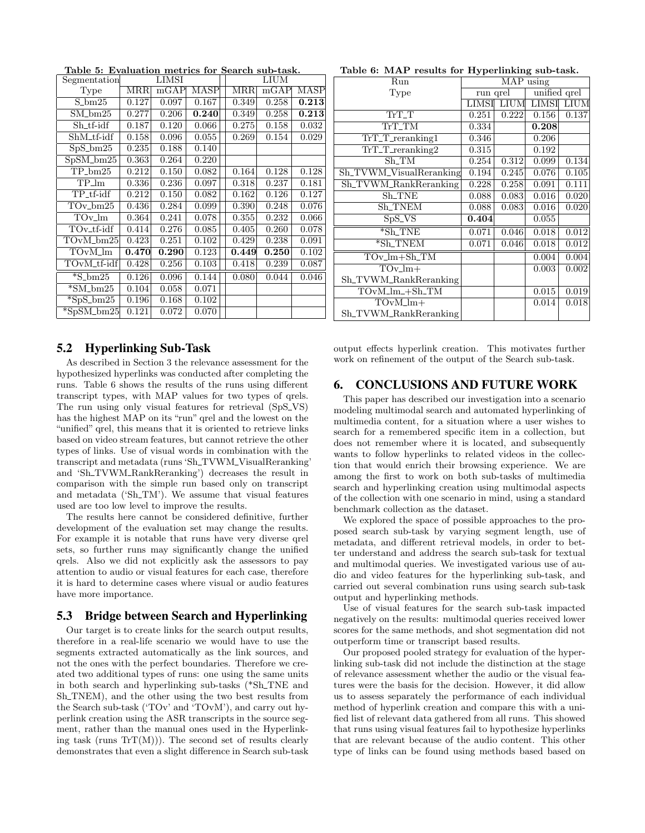Table 5: Evaluation metrics for Search sub-task.

| Segmentation                           | LIMSI                   |       |                          | LIUM                    |               |           |  |
|----------------------------------------|-------------------------|-------|--------------------------|-------------------------|---------------|-----------|--|
| Type                                   | $\overline{\text{MRR}}$ | mGAP  | $\overline{\text{MASP}}$ | $\overline{\text{MRR}}$ | $_{\rm mGAP}$ | MĀSP      |  |
| $\overline{\text{S}}$ <sub>-bm25</sub> | 0.127                   | 0.097 | 0.167                    | 0.349                   | 0.258         | 0.213     |  |
| $SM\_bm25$                             | 0.277                   | 0.206 | 0.240                    | 0.349                   | 0.258         | 0.213     |  |
| Sh_tf-idf                              | 0.187                   | 0.120 | 0.066                    | 0.275                   | 0.158         | 0.032     |  |
| ShM_tf-idf                             | 0.158                   | 0.096 | 0.055                    | 0.269                   | 0.154         | 0.029     |  |
| $SpS_{\rm \sim}25$                     | 0.235                   | 0.188 | 0.140                    |                         |               |           |  |
| SpSM_bm25                              | 0.363                   | 0.264 | 0.220                    |                         |               |           |  |
| $TP\_bm25$                             | 0.212                   | 0.150 | 0.082                    | 0.164                   | 0.128         | 0.128     |  |
| $TP\_lm$                               | 0.336                   | 0.236 | 0.097                    | 0.318                   | 0.237         | 0.181     |  |
| $TP_t$ -tf-idf                         | 0.212                   | 0.150 | 0.082                    | 0.162                   | 0.126         | 0.127     |  |
| $TOv_bm25$                             | 0.436                   | 0.284 | 0.099                    | 0.390                   | 0.248         | 0.076     |  |
| $TOv_l$                                | 0.364                   | 0.241 | 0.078                    | 0.355                   | 0.232         | $0.066\,$ |  |
| TOv_tf-idf                             | 0.414                   | 0.276 | 0.085                    | 0.405                   | 0.260         | 0.078     |  |
| TOvM_bm25                              | 0.423                   | 0.251 | 0.102                    | 0.429                   | 0.238         | 0.091     |  |
| TOvM_lm                                | 0.470                   | 0.290 | 0.123                    | 0.449                   | 0.250         | 0.102     |  |
| TOvM_tf-idf                            | 0.428                   | 0.256 | 0.103                    | 0.418                   | 0.239         | $0.087\,$ |  |
| $*$ S_bm25                             | 0.126                   | 0.096 | 0.144                    | 0.080                   | 0.044         | 0.046     |  |
| $*SM_bm25$                             | 0.104                   | 0.058 | 0.071                    |                         |               |           |  |
| $$SpS_bm25$                            | 0.196                   | 0.168 | 0.102                    |                         |               |           |  |
| $$SpSM_bm25$                           | 0.121                   | 0.072 | 0.070                    |                         |               |           |  |

Table 6: MAP results for Hyperlinking sub-task.

| Run                     | MAP using |            |                    |                    |  |  |
|-------------------------|-----------|------------|--------------------|--------------------|--|--|
| Type                    | run qrel  |            | unified grel       |                    |  |  |
|                         |           | LIMSI LIUM |                    | <b>LIMSI</b> LIUM  |  |  |
| TrT_T                   | 0.251     | 0.222      | 0.156              | 0.137              |  |  |
| TrT_TM                  | 0.334     |            | 0.208              |                    |  |  |
| TrT_T_reranking1        | 0.346     |            | 0.206              |                    |  |  |
| $TrT_T$ -reranking2     | 0.315     |            | 0.192              |                    |  |  |
| $Sh\_TM$                | 0.254     | 0.312      | 0.099              | 0.134              |  |  |
| Sh_TVWM_VisualReranking | 0.194     | 0.245      | 0.076              | 0.105              |  |  |
| Sh_TVWM_RankReranking   | 0.228     | 0.258      | 0.091              | 0.111              |  |  |
| Sh_TNE                  | 0.088     | 0.083      | 0.016              | 0.020              |  |  |
| Sh_TNEM                 | 0.088     | 0.083      | 0.016              | 0.020              |  |  |
| SpS_VS                  | 0.404     |            | 0.055              |                    |  |  |
| $*$ Sh_TNE              | 0.071     | 0.046      | 0.018              | 0.012              |  |  |
| *Sh_TNEM                | 0.071     | 0.046      | 0.018              | $0.\overline{012}$ |  |  |
| $TOv_lm + Sh_lTM$       |           |            | 0.004              | $0.\overline{004}$ |  |  |
| $TOv_lm+$               |           |            | 0.003              | 0.002              |  |  |
| Sh_TVWM_RankReranking   |           |            |                    |                    |  |  |
| TOvM_lm_+Sh_TM          |           |            | $0.\overline{015}$ | 0.019              |  |  |
| TOvM_lm+                |           |            | 0.014              | 0.018              |  |  |
| Sh_TVWM_RankReranking   |           |            |                    |                    |  |  |

#### 5.2 Hyperlinking Sub-Task

As described in Section 3 the relevance assessment for the hypothesized hyperlinks was conducted after completing the runs. Table 6 shows the results of the runs using different transcript types, with MAP values for two types of qrels. The run using only visual features for retrieval (SpS\_VS) has the highest MAP on its "run" qrel and the lowest on the "unified" qrel, this means that it is oriented to retrieve links based on video stream features, but cannot retrieve the other types of links. Use of visual words in combination with the transcript and metadata (runs 'Sh\_TVWM\_VisualReranking' and 'Sh TVWM RankReranking') decreases the result in comparison with the simple run based only on transcript and metadata ('Sh\_TM'). We assume that visual features used are too low level to improve the results.

The results here cannot be considered definitive, further development of the evaluation set may change the results. For example it is notable that runs have very diverse qrel sets, so further runs may significantly change the unified qrels. Also we did not explicitly ask the assessors to pay attention to audio or visual features for each case, therefore it is hard to determine cases where visual or audio features have more importance.

## 5.3 Bridge between Search and Hyperlinking

Our target is to create links for the search output results, therefore in a real-life scenario we would have to use the segments extracted automatically as the link sources, and not the ones with the perfect boundaries. Therefore we created two additional types of runs: one using the same units in both search and hyperlinking sub-tasks (\*Sh\_TNE and Sh\_TNEM), and the other using the two best results from the Search sub-task ('TOv' and 'TOvM'), and carry out hyperlink creation using the ASR transcripts in the source segment, rather than the manual ones used in the Hyperlinking task (runs  $TrT(M)$ )). The second set of results clearly demonstrates that even a slight difference in Search sub-task output effects hyperlink creation. This motivates further work on refinement of the output of the Search sub-task.

#### 6. CONCLUSIONS AND FUTURE WORK

This paper has described our investigation into a scenario modeling multimodal search and automated hyperlinking of multimedia content, for a situation where a user wishes to search for a remembered specific item in a collection, but does not remember where it is located, and subsequently wants to follow hyperlinks to related videos in the collection that would enrich their browsing experience. We are among the first to work on both sub-tasks of multimedia search and hyperlinking creation using multimodal aspects of the collection with one scenario in mind, using a standard benchmark collection as the dataset.

We explored the space of possible approaches to the proposed search sub-task by varying segment length, use of metadata, and different retrieval models, in order to better understand and address the search sub-task for textual and multimodal queries. We investigated various use of audio and video features for the hyperlinking sub-task, and carried out several combination runs using search sub-task output and hyperlinking methods.

Use of visual features for the search sub-task impacted negatively on the results: multimodal queries received lower scores for the same methods, and shot segmentation did not outperform time or transcript based results.

Our proposed pooled strategy for evaluation of the hyperlinking sub-task did not include the distinction at the stage of relevance assessment whether the audio or the visual features were the basis for the decision. However, it did allow us to assess separately the performance of each individual method of hyperlink creation and compare this with a unified list of relevant data gathered from all runs. This showed that runs using visual features fail to hypothesize hyperlinks that are relevant because of the audio content. This other type of links can be found using methods based based on